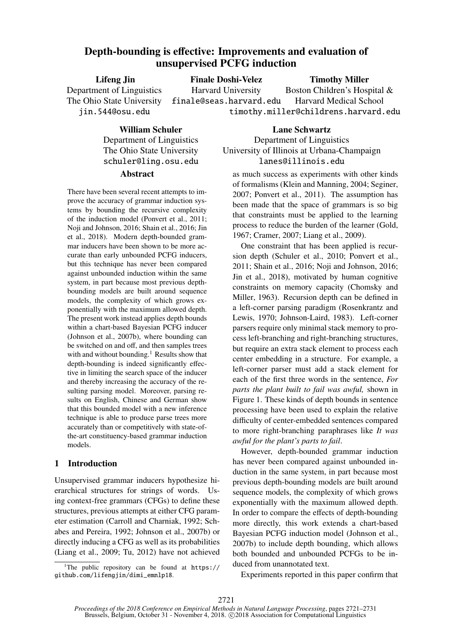# Depth-bounding is effective: Improvements and evaluation of unsupervised PCFG induction

Lifeng Jin Department of Linguistics The Ohio State University jin.544@osu.edu Finale Doshi-Velez Harvard University finale@seas.harvard.edu Timothy Miller Boston Children's Hospital & Harvard Medical School timothy.miller@childrens.harvard.edu

> William Schuler Department of Linguistics The Ohio State University schuler@ling.osu.edu

## Abstract

There have been several recent attempts to improve the accuracy of grammar induction systems by bounding the recursive complexity of the induction model (Ponvert et al., 2011; Noji and Johnson, 2016; Shain et al., 2016; Jin et al., 2018). Modern depth-bounded grammar inducers have been shown to be more accurate than early unbounded PCFG inducers, but this technique has never been compared against unbounded induction within the same system, in part because most previous depthbounding models are built around sequence models, the complexity of which grows exponentially with the maximum allowed depth. The present work instead applies depth bounds within a chart-based Bayesian PCFG inducer (Johnson et al., 2007b), where bounding can be switched on and off, and then samples trees with and without bounding.<sup>1</sup> Results show that depth-bounding is indeed significantly effective in limiting the search space of the inducer and thereby increasing the accuracy of the resulting parsing model. Moreover, parsing results on English, Chinese and German show that this bounded model with a new inference technique is able to produce parse trees more accurately than or competitively with state-ofthe-art constituency-based grammar induction models.

# 1 Introduction

Unsupervised grammar inducers hypothesize hierarchical structures for strings of words. ing context-free grammars (CFGs) to define these structures, previous attempts at either CFG parameter estimation (Carroll and Charniak, 1992; Schabes and Pereira, 1992; Johnson et al., 2007b) or directly inducing a CFG as well as its probabilities (Liang et al., 2009; Tu, 2012) have not achieved

<sup>1</sup>The public repository can be found at https:// github.com/lifengjin/dimi\_emnlp18.

Lane Schwartz Department of Linguistics University of Illinois at Urbana-Champaign lanes@illinois.edu

as much success as experiments with other kinds of formalisms (Klein and Manning, 2004; Seginer, 2007; Ponvert et al., 2011). The assumption has been made that the space of grammars is so big that constraints must be applied to the learning process to reduce the burden of the learner (Gold, 1967; Cramer, 2007; Liang et al., 2009).

One constraint that has been applied is recursion depth (Schuler et al., 2010; Ponvert et al., 2011; Shain et al., 2016; Noji and Johnson, 2016; Jin et al., 2018), motivated by human cognitive constraints on memory capacity (Chomsky and Miller, 1963). Recursion depth can be defined in a left-corner parsing paradigm (Rosenkrantz and Lewis, 1970; Johnson-Laird, 1983). Left-corner parsers require only minimal stack memory to process left-branching and right-branching structures, but require an extra stack element to process each center embedding in a structure. For example, a left-corner parser must add a stack element for each of the first three words in the sentence, *For parts the plant built to fail was awful,* shown in Figure 1. These kinds of depth bounds in sentence processing have been used to explain the relative difficulty of center-embedded sentences compared to more right-branching paraphrases like *It was awful for the plant's parts to fail*.

However, depth-bounded grammar induction has never been compared against unbounded induction in the same system, in part because most previous depth-bounding models are built around sequence models, the complexity of which grows exponentially with the maximum allowed depth. In order to compare the effects of depth-bounding more directly, this work extends a chart-based Bayesian PCFG induction model (Johnson et al., 2007b) to include depth bounding, which allows both bounded and unbounded PCFGs to be induced from unannotated text.

Experiments reported in this paper confirm that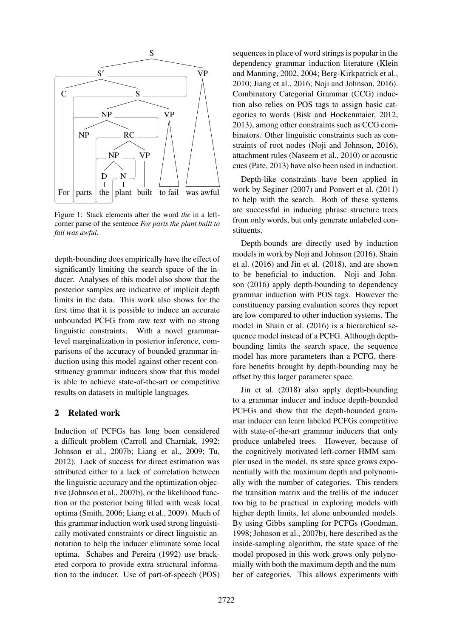

Figure 1: Stack elements after the word *the* in a leftcorner parse of the sentence *For parts the plant built to fail was awful.*

depth-bounding does empirically have the effect of significantly limiting the search space of the inducer. Analyses of this model also show that the posterior samples are indicative of implicit depth limits in the data. This work also shows for the first time that it is possible to induce an accurate unbounded PCFG from raw text with no strong linguistic constraints. With a novel grammarlevel marginalization in posterior inference, comparisons of the accuracy of bounded grammar induction using this model against other recent constituency grammar inducers show that this model is able to achieve state-of-the-art or competitive results on datasets in multiple languages.

# 2 Related work

Induction of PCFGs has long been considered a difficult problem (Carroll and Charniak, 1992; Johnson et al., 2007b; Liang et al., 2009; Tu, 2012). Lack of success for direct estimation was attributed either to a lack of correlation between the linguistic accuracy and the optimization objective (Johnson et al., 2007b), or the likelihood function or the posterior being filled with weak local optima (Smith, 2006; Liang et al., 2009). Much of this grammar induction work used strong linguistically motivated constraints or direct linguistic annotation to help the inducer eliminate some local optima. Schabes and Pereira (1992) use bracketed corpora to provide extra structural information to the inducer. Use of part-of-speech (POS)

sequences in place of word strings is popular in the dependency grammar induction literature (Klein and Manning, 2002, 2004; Berg-Kirkpatrick et al., 2010; Jiang et al., 2016; Noji and Johnson, 2016). Combinatory Categorial Grammar (CCG) induction also relies on POS tags to assign basic categories to words (Bisk and Hockenmaier, 2012, 2013), among other constraints such as CCG combinators. Other linguistic constraints such as constraints of root nodes (Noji and Johnson, 2016), attachment rules (Naseem et al., 2010) or acoustic cues (Pate, 2013) have also been used in induction.

Depth-like constraints have been applied in work by Seginer (2007) and Ponvert et al. (2011) to help with the search. Both of these systems are successful in inducing phrase structure trees from only words, but only generate unlabeled constituents.

Depth-bounds are directly used by induction models in work by Noji and Johnson (2016), Shain et al. (2016) and Jin et al. (2018), and are shown to be beneficial to induction. Noji and Johnson (2016) apply depth-bounding to dependency grammar induction with POS tags. However the constituency parsing evaluation scores they report are low compared to other induction systems. The model in Shain et al. (2016) is a hierarchical sequence model instead of a PCFG. Although depthbounding limits the search space, the sequence model has more parameters than a PCFG, therefore benefits brought by depth-bounding may be offset by this larger parameter space.

Jin et al. (2018) also apply depth-bounding to a grammar inducer and induce depth-bounded PCFGs and show that the depth-bounded grammar inducer can learn labeled PCFGs competitive with state-of-the-art grammar inducers that only produce unlabeled trees. However, because of the cognitively motivated left-corner HMM sampler used in the model, its state space grows exponentially with the maximum depth and polynomially with the number of categories. This renders the transition matrix and the trellis of the inducer too big to be practical in exploring models with higher depth limits, let alone unbounded models. By using Gibbs sampling for PCFGs (Goodman, 1998; Johnson et al., 2007b), here described as the inside-sampling algorithm, the state space of the model proposed in this work grows only polynomially with both the maximum depth and the number of categories. This allows experiments with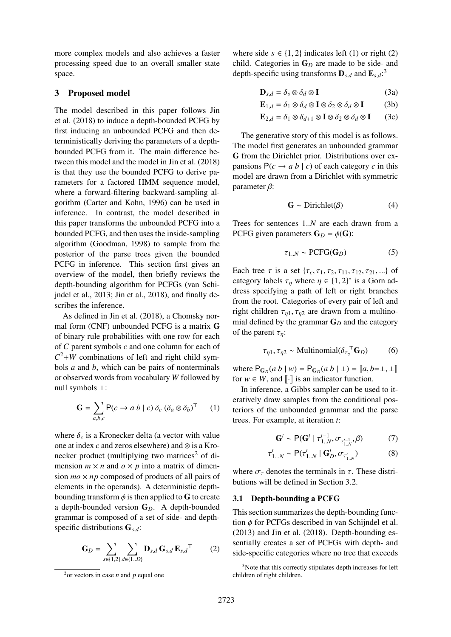more complex models and also achieves a faster processing speed due to an overall smaller state space.

### 3 Proposed model

The model described in this paper follows Jin et al. (2018) to induce a depth-bounded PCFG by first inducing an unbounded PCFG and then deterministically deriving the parameters of a depthbounded PCFG from it. The main difference between this model and the model in Jin et al. (2018) is that they use the bounded PCFG to derive parameters for a factored HMM sequence model, where a forward-filtering backward-sampling algorithm (Carter and Kohn, 1996) can be used in inference. In contrast, the model described in this paper transforms the unbounded PCFG into a bounded PCFG, and then uses the inside-sampling algorithm (Goodman, 1998) to sample from the posterior of the parse trees given the bounded PCFG in inference. This section first gives an overview of the model, then briefly reviews the depth-bounding algorithm for PCFGs (van Schijndel et al., 2013; Jin et al., 2018), and finally describes the inference.

As defined in Jin et al. (2018), a Chomsky normal form (CNF) unbounded PCFG is a matrix G of binary rule probabilities with one row for each of *C* parent symbols *c* and one column for each of  $C^2+W$  combinations of left and right child symbols *a* and *b*, which can be pairs of nonterminals or observed words from vocabulary *W* followed by null symbols ⊥:

$$
\mathbf{G} = \sum_{a,b,c} \mathbf{P}(c \to a \ b \mid c) \ \delta_c \ (\delta_a \otimes \delta_b)^\top \qquad (1)
$$

where  $\delta_c$  is a Kronecker delta (a vector with value one at index *c* and zeros elsewhere) and ⊗ is a Kronecker product (multiplying two matrices<sup>2</sup> of dimension  $m \times n$  and  $o \times p$  into a matrix of dimension  $mo \times np$  composed of products of all pairs of elements in the operands). A deterministic depthbounding transform  $\phi$  is then applied to G to create a depth-bounded version G*D*. A depth-bounded grammar is composed of a set of side- and depthspecific distributions <sup>G</sup>*s*,*d*:

$$
\mathbf{G}_D = \sum_{s \in \{1,2\}} \sum_{d \in \{1..D\}} \mathbf{D}_{s,d} \, \mathbf{G}_{s,d} \, \mathbf{E}_{s,d}^\top \tag{2}
$$

where side  $s \in \{1, 2\}$  indicates left (1) or right (2) child. Categories in  $G_D$  are made to be side- and depth-specific using transforms  $\mathbf{D}_{s,d}$  and  $\mathbf{E}_{s,d}$ <sup>2</sup>.

$$
\mathbf{D}_{s,d} = \delta_s \otimes \delta_d \otimes \mathbf{I}
$$
 (3a)

$$
\mathbf{E}_{1,d} = \delta_1 \otimes \delta_d \otimes \mathbf{I} \otimes \delta_2 \otimes \delta_d \otimes \mathbf{I} \tag{3b}
$$

$$
\mathbf{E}_{2,d} = \delta_1 \otimes \delta_{d+1} \otimes \mathbf{I} \otimes \delta_2 \otimes \delta_d \otimes \mathbf{I} \qquad (3c)
$$

The generative story of this model is as follows. The model first generates an unbounded grammar G from the Dirichlet prior. Distributions over expansions  $P(c \rightarrow a b \mid c)$  of each category *c* in this model are drawn from a Dirichlet with symmetric parameter  $\beta$ :

$$
\mathbf{G} \sim \text{Dirichlet}(\beta) \tag{4}
$$

Trees for sentences 1..*<sup>N</sup>* are each drawn from a PCFG given parameters  $G_D = \phi(G)$ :

$$
\tau_{1..N} \sim \text{PCFG}(\mathbf{G}_D) \tag{5}
$$

Each tree  $\tau$  is a set  $\{\tau_{\epsilon}, \tau_1, \tau_2, \tau_{11}, \tau_{12}, \tau_{21}, ...\}$  of category labels  $\tau$ , where  $n \in \{1, 2\}^*$  is a Gorn adcategory labels  $\tau_{\eta}$  where  $\eta \in \{1, 2\}^*$  is a Gorn ad-<br>dress specifying a path of left or right branches dress specifying a path of left or right branches from the root. Categories of every pair of left and right children  $\tau_{n1}, \tau_{n2}$  are drawn from a multinomial defined by the grammar G*<sup>D</sup>* and the category of the parent  $\tau_n$ :

$$
\tau_{\eta 1}, \tau_{\eta 2} \sim \text{Multinomial}(\delta_{\tau_{\eta}}^{\top} \mathbf{G}_D) \tag{6}
$$

where  $P_{G_D}(a \ b \mid w) = P_{G_D}(a \ b \mid \bot) = [a, b = \bot, \bot]$ <br>for  $w \in W$  and [*i*] is an indicator function for  $w \in W$ , and  $\lbrack \lbrack \cdot \rbrack \rbrack$  is an indicator function.

In inference, a Gibbs sampler can be used to iteratively draw samples from the conditional posteriors of the unbounded grammar and the parse trees. For example, at iteration *t*:

$$
\mathbf{G}^{t} \sim \mathsf{P}(\mathbf{G}^{t} \mid \tau_{1..N}^{t-1}, \sigma_{\tau_{1..N}^{t-1}}, \beta) \tag{7}
$$

$$
\tau_{1...N}^t \sim \mathsf{P}(\tau_{1..N}^t \mid \mathbf{G}_D^t, \sigma_{\tau_{1..N}^t})
$$
(8)

where  $\sigma_{\tau}$  denotes the terminals in  $\tau$ . These distributions will be defined in Section 3.2.

#### 3.1 Depth-bounding a PCFG

This section summarizes the depth-bounding function  $\phi$  for PCFGs described in van Schijndel et al. (2013) and Jin et al. (2018). Depth-bounding essentially creates a set of PCFGs with depth- and side-specific categories where no tree that exceeds

<sup>2</sup>or vectors in case *n* and *p* equal one

<sup>&</sup>lt;sup>3</sup>Note that this correctly stipulates depth increases for left children of right children.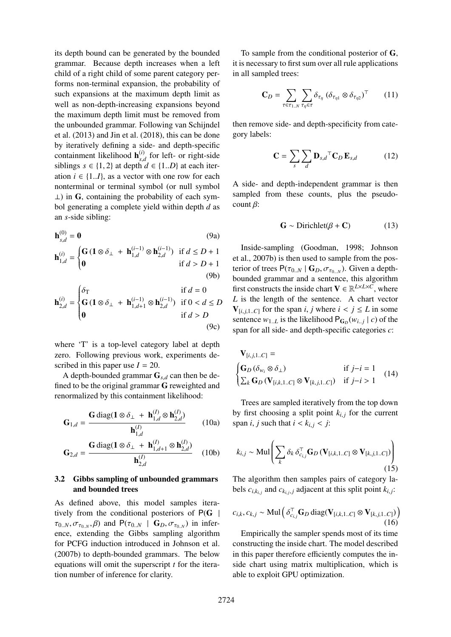its depth bound can be generated by the bounded grammar. Because depth increases when a left child of a right child of some parent category performs non-terminal expansion, the probability of such expansions at the maximum depth limit as well as non-depth-increasing expansions beyond the maximum depth limit must be removed from the unbounded grammar. Following van Schijndel et al. (2013) and Jin et al. (2018), this can be done by iteratively defining a side- and depth-specific containment likelihood  $h_{s,d}^{(i)}$  for left- or right-side siblings  $s \in \{1, 2\}$  at depth  $d \in \{1..D\}$  at each iter-<br>ation *i* ∈ {1, *D*} as a vector with one row for each ation  $i \in \{1..I\}$ , as a vector with one row for each nonterminal or terminal symbol (or null symbol  $\perp$ ) in G, containing the probability of each symbol generating a complete yield within depth *d* as an *s*-side sibling:

$$
\mathbf{h}_{s,d}^{(0)} = \mathbf{0}
$$
 (9a)  

$$
\mathbf{G} \left( \mathbf{G} \left( \mathbf{1} \otimes \delta_{+} + \mathbf{h}_{-}^{(i-1)} \otimes \mathbf{h}_{-}^{(i-1)} \right) \right) \text{ if } d < D+1
$$

$$
\mathbf{h}_{1,d}^{(i)} = \begin{cases} \mathbf{G} \left( \mathbf{1} \otimes \delta_{\perp} + \mathbf{h}_{1,d}^{(i-1)} \otimes \mathbf{h}_{2,d}^{(i-1)} \right) & \text{if } d \le D+1 \\ \mathbf{0} & \text{if } d > D+1 \end{cases}
$$
(9b)

$$
\mathbf{h}_{2,d}^{(i)} = \begin{cases} \delta_{\mathrm{T}} & \text{if } d = 0\\ \mathbf{G} \left( \mathbf{1} \otimes \delta_{\perp} + \mathbf{h}_{1,d+1}^{(i-1)} \otimes \mathbf{h}_{2,d}^{(i-1)} \right) & \text{if } 0 < d \le D\\ \mathbf{0} & \text{if } d > D \end{cases} \tag{9c}
$$

where 'T' is a top-level category label at depth zero. Following previous work, experiments described in this paper use  $I = 20$ .

A depth-bounded grammar <sup>G</sup>*s*,*<sup>d</sup>* can then be defined to be the original grammar G reweighted and renormalized by this containment likelihood:

$$
\mathbf{G}_{1,d} = \frac{\mathbf{G} \operatorname{diag}(\mathbf{1} \otimes \delta_{\perp} + \mathbf{h}_{1,d}^{(I)} \otimes \mathbf{h}_{2,d}^{(I)})}{\mathbf{h}_{1,d}^{(I)}} \tag{10a}
$$

$$
\mathbf{G}_{2,d} = \frac{\mathbf{G} \operatorname{diag}(\mathbf{1} \otimes \delta_{\perp} + \mathbf{h}_{1,d+1}^{(I)} \otimes \mathbf{h}_{2,d}^{(I)})}{\mathbf{h}_{2,d}^{(I)}} \quad (10b)
$$

# 3.2 Gibbs sampling of unbounded grammars and bounded trees

As defined above, this model samples iteratively from the conditional posteriors of  $P(G |$  $\tau_{0,N}, \sigma_{\tau_{0,N}}, \beta$  and  $P(\tau_{0,N} \mid G_D, \sigma_{\tau_{0,N}})$  in inference, extending the Gibbs sampling algorithm for PCFG induction introduced in Johnson et al. (2007b) to depth-bounded grammars. The below equations will omit the superscript *t* for the iteration number of inference for clarity.

To sample from the conditional posterior of G, it is necessary to first sum over all rule applications in all sampled trees:

$$
\mathbf{C}_D = \sum_{\tau \in \tau_{1..N}} \sum_{\tau_{\eta} \in \tau} \delta_{\tau_{\eta}} \left( \delta_{\tau_{\eta 1}} \otimes \delta_{\tau_{\eta 2}} \right)^{\top} \qquad (11)
$$

then remove side- and depth-specificity from category labels:

$$
\mathbf{C} = \sum_{s} \sum_{d} \mathbf{D}_{s,d}^{\top} \mathbf{C}_{D} \mathbf{E}_{s,d} \quad (12)
$$

A side- and depth-independent grammar is then sampled from these counts, plus the pseudocount  $\beta$ :

$$
\mathbf{G} \sim \text{Dirichlet}(\beta + \mathbf{C}) \tag{13}
$$

Inside-sampling (Goodman, 1998; Johnson et al., 2007b) is then used to sample from the posterior of trees  $P(\tau_{0,N} | G_D, \sigma_{\tau_{0,N}})$ . Given a depth-<br>bounded grammar and a sentence, this algorithm bounded grammar and a sentence, this algorithm first constructs the inside chart  $V \in \mathbb{R}^{L \times L \times C}$ , where *L* is the length of the sentence. A chart vector  $V_{[i,j,1..C]}$  for the span *i*, *j* where  $i < j \le L$  in some sentence  $w_{1,L}$  is the likelihood  $P_{\mathbf{G}_D}(w_{i,j} | c)$  of the span for all side- and depth-specific categories *c*:

$$
\mathbf{V}_{[i,j,1..C]} = \n\begin{cases}\n\mathbf{G}_D (\delta_{w_i} \otimes \delta_\perp) & \text{if } j-i = 1 \\
\sum_k \mathbf{G}_D (\mathbf{V}_{[i,k,1..C]} \otimes \mathbf{V}_{[k,j,1..C]}) & \text{if } j-i > 1\n\end{cases} \tag{14}
$$

Trees are sampled iteratively from the top down by first choosing a split point  $k_{i,j}$  for the current span *i*, *j* such that  $i < k_{i,j} < j$ :

$$
k_{i,j} \sim \text{Mul}\left(\sum_{k} \delta_k \, \delta_{c_{i,j}}^{\top} \mathbf{G}_D \left(\mathbf{V}_{[i,k,1..C]} \otimes \mathbf{V}_{[k,j,1..C]}\right)\right)
$$
\n(15)

The algorithm then samples pairs of category labels  $c_{i,k_{i,j}}$  and  $c_{k_{i,j},j}$  adjacent at this split point  $k_{i,j}$ :

$$
c_{i,k}, c_{k,j} \sim \text{Mul}\left(\delta_{c_{i,j}}^{\top} \mathbf{G}_D \text{ diag}(\mathbf{V}_{[i,k,1..C]} \otimes \mathbf{V}_{[k,j,1..C]})\right)
$$
\n(16)

Empirically the sampler spends most of its time constructing the inside chart. The model described in this paper therefore efficiently computes the inside chart using matrix multiplication, which is able to exploit GPU optimization.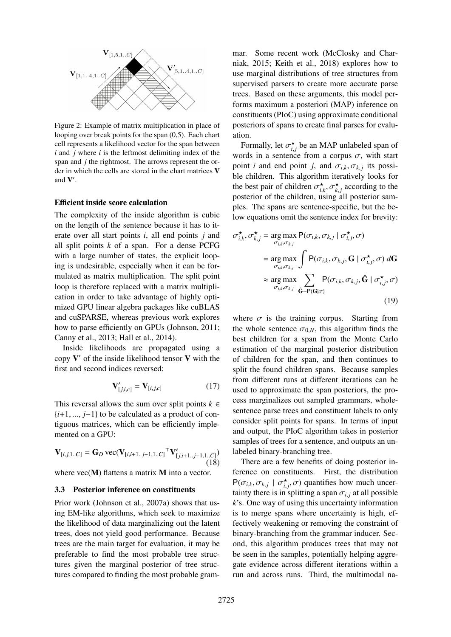

Figure 2: Example of matrix multiplication in place of looping over break points for the span (0,5). Each chart cell represents a likelihood vector for the span between *i* and *j* where *i* is the leftmost delimiting index of the span and *j* the rightmost. The arrows represent the order in which the cells are stored in the chart matrices V and  $V'$ .

#### Efficient inside score calculation

The complexity of the inside algorithm is cubic on the length of the sentence because it has to iterate over all start points *i*, all end points *j* and all split points *k* of a span. For a dense PCFG with a large number of states, the explicit looping is undesirable, especially when it can be formulated as matrix multiplication. The split point loop is therefore replaced with a matrix multiplication in order to take advantage of highly optimized GPU linear algebra packages like cuBLAS and cuSPARSE, whereas previous work explores how to parse efficiently on GPUs (Johnson, 2011; Canny et al., 2013; Hall et al., 2014).

Inside likelihoods are propagated using a copy  $V'$  of the inside likelihood tensor  $V$  with the first and second indices reversed:

$$
\mathbf{V}'_{[j,i,c]} = \mathbf{V}_{[i,j,c]}
$$
 (17)

This reversal allows the sum over split points  $k \in$ {*i*+1, ..., *<sup>j</sup>*−1} to be calculated as a product of contiguous matrices, which can be efficiently implemented on a GPU:

$$
\mathbf{V}_{[i,j,1..C]} = \mathbf{G}_D \text{ vec}(\mathbf{V}_{[i,i+1..j-1,1..C]}^\top \mathbf{V}'_{[j,i+1..j-1,1..C]})
$$
(18)

where  $vec(\bf{M})$  flattens a matrix  $\bf{M}$  into a vector.

#### 3.3 Posterior inference on constituents

Prior work (Johnson et al., 2007a) shows that using EM-like algorithms, which seek to maximize the likelihood of data marginalizing out the latent trees, does not yield good performance. Because trees are the main target for evaluation, it may be preferable to find the most probable tree structures given the marginal posterior of tree structures compared to finding the most probable grammar. Some recent work (McClosky and Charniak, 2015; Keith et al., 2018) explores how to use marginal distributions of tree structures from supervised parsers to create more accurate parse trees. Based on these arguments, this model performs maximum a posteriori (MAP) inference on constituents (PIoC) using approximate conditional posteriors of spans to create final parses for evaluation.

Formally, let  $\sigma_{i,j}^*$  be an MAP unlabeled span of<br>and in a sentence from a corpus  $\sigma$ , with start *i*, **j** *i*, *j j i j j i j j j j j j j j j j j j j j j j j j <i>j j j <i>j j <i>j <i>j <i>j <i>j* point *i* and end point *j*, and  $\sigma_{i,k}, \sigma_{k,j}$  its possi-<br>ble children. This algorithm iteratively looks for ble children. This algorithm iteratively looks for the best pair of children  $\sigma_{i,k}^{\star}$ ,  $\sigma_{k,j}^{\star}$  according to the posterior of the children using all posterior samposterior of the children, using all posterior samples. The spans are sentence-specific, but the below equations omit the sentence index for brevity:

$$
\sigma_{i,k}^{\star}, \sigma_{k,j}^{\star} = \underset{\sigma_{i,k}, \sigma_{k,j}}{\arg \max} P(\sigma_{i,k}, \sigma_{k,j} | \sigma_{i,j}^{\star}, \sigma)
$$
  
\n
$$
= \underset{\sigma_{i,k}, \sigma_{k,j}}{\arg \max} \int P(\sigma_{i,k}, \sigma_{k,j}, \mathbf{G} | \sigma_{i,j}^{\star}, \sigma) d\mathbf{G}
$$
  
\n
$$
\approx \underset{\sigma_{i,k}, \sigma_{k,j}}{\arg \max} \sum_{\hat{\mathbf{G}} \sim P(\mathbf{G} | \sigma)} P(\sigma_{i,k}, \sigma_{k,j}, \hat{\mathbf{G}} | \sigma_{i,j}^{\star}, \sigma)
$$
  
\n(19)

where  $\sigma$  is the training corpus. Starting from the whole sentence  $\sigma_{0,N}$ , this algorithm finds the best children for a span from the Monte Carlo estimation of the marginal posterior distribution of children for the span, and then continues to split the found children spans. Because samples from different runs at different iterations can be used to approximate the span posteriors, the process marginalizes out sampled grammars, wholesentence parse trees and constituent labels to only consider split points for spans. In terms of input and output, the PIoC algorithm takes in posterior samples of trees for a sentence, and outputs an unlabeled binary-branching tree.

There are a few benefits of doing posterior inference on constituents. First, the distribution  $P(\sigma_{i,k}, \sigma_{k,j} \mid \sigma_{i,j}^{*}, \sigma)$  quantifies how much uncer-<br>tainty there is in splitting a span  $\sigma_{i,j}$  at all possible *i*,  $\left(\frac{U_{i,k}, U_{k,j} - U_{i,j}, U'}{U_{i,j}}\right)$  quantifies now much uncertainty there is in splitting a span  $\sigma_{i,j}$  at all possible  $k$ 's. One way of using this uncertainty information *k*'s. One way of using this uncertainty information is to merge spans where uncertainty is high, effectively weakening or removing the constraint of binary-branching from the grammar inducer. Second, this algorithm produces trees that may not be seen in the samples, potentially helping aggregate evidence across different iterations within a run and across runs. Third, the multimodal na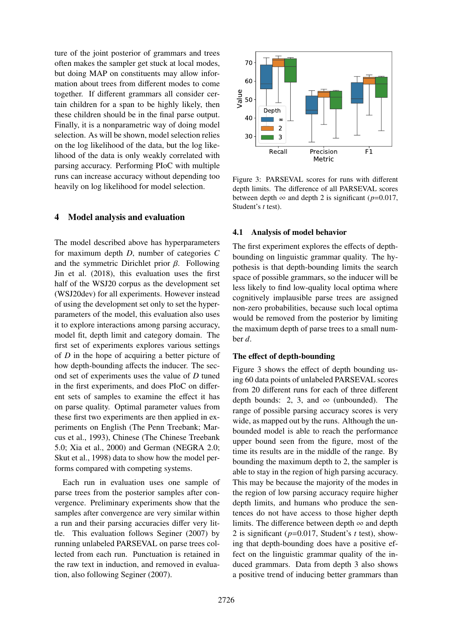ture of the joint posterior of grammars and trees often makes the sampler get stuck at local modes, but doing MAP on constituents may allow information about trees from different modes to come together. If different grammars all consider certain children for a span to be highly likely, then these children should be in the final parse output. Finally, it is a nonparametric way of doing model selection. As will be shown, model selection relies on the log likelihood of the data, but the log likelihood of the data is only weakly correlated with parsing accuracy. Performing PIoC with multiple runs can increase accuracy without depending too heavily on log likelihood for model selection.

## 4 Model analysis and evaluation

The model described above has hyperparameters for maximum depth *D*, number of categories *C* and the symmetric Dirichlet prior  $\beta$ . Following Jin et al. (2018), this evaluation uses the first half of the WSJ20 corpus as the development set (WSJ20dev) for all experiments. However instead of using the development set only to set the hyperparameters of the model, this evaluation also uses it to explore interactions among parsing accuracy, model fit, depth limit and category domain. The first set of experiments explores various settings of *D* in the hope of acquiring a better picture of how depth-bounding affects the inducer. The second set of experiments uses the value of *D* tuned in the first experiments, and does PIoC on different sets of samples to examine the effect it has on parse quality. Optimal parameter values from these first two experiments are then applied in experiments on English (The Penn Treebank; Marcus et al., 1993), Chinese (The Chinese Treebank 5.0; Xia et al., 2000) and German (NEGRA 2.0; Skut et al., 1998) data to show how the model performs compared with competing systems.

Each run in evaluation uses one sample of parse trees from the posterior samples after convergence. Preliminary experiments show that the samples after convergence are very similar within a run and their parsing accuracies differ very little. This evaluation follows Seginer (2007) by running unlabeled PARSEVAL on parse trees collected from each run. Punctuation is retained in the raw text in induction, and removed in evaluation, also following Seginer (2007).



Figure 3: PARSEVAL scores for runs with different depth limits. The difference of all PARSEVAL scores between depth  $\infty$  and depth 2 is significant ( $p=0.017$ , Student's *t* test).

#### 4.1 Analysis of model behavior

The first experiment explores the effects of depthbounding on linguistic grammar quality. The hypothesis is that depth-bounding limits the search space of possible grammars, so the inducer will be less likely to find low-quality local optima where cognitively implausible parse trees are assigned non-zero probabilities, because such local optima would be removed from the posterior by limiting the maximum depth of parse trees to a small number *d*.

#### The effect of depth-bounding

Figure 3 shows the effect of depth bounding using 60 data points of unlabeled PARSEVAL scores from 20 different runs for each of three different depth bounds: 2, 3, and  $\infty$  (unbounded). The range of possible parsing accuracy scores is very wide, as mapped out by the runs. Although the unbounded model is able to reach the performance upper bound seen from the figure, most of the time its results are in the middle of the range. By bounding the maximum depth to 2, the sampler is able to stay in the region of high parsing accuracy. This may be because the majority of the modes in the region of low parsing accuracy require higher depth limits, and humans who produce the sentences do not have access to those higher depth limits. The difference between depth  $\infty$  and depth 2 is significant (*p*=0.017, Student's *t* test), showing that depth-bounding does have a positive effect on the linguistic grammar quality of the induced grammars. Data from depth 3 also shows a positive trend of inducing better grammars than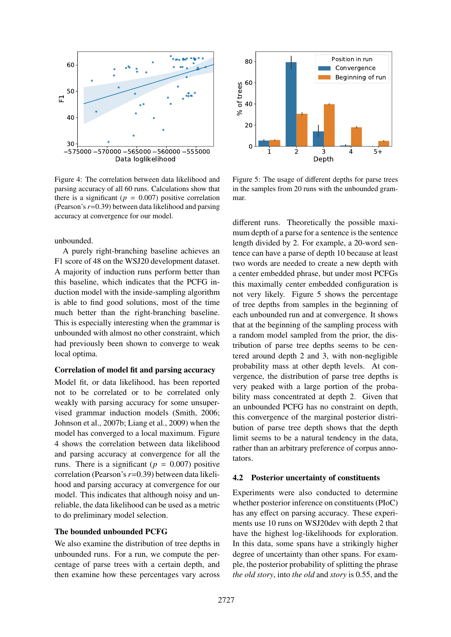

Figure 4: The correlation between data likelihood and parsing accuracy of all 60 runs. Calculations show that there is a significant ( $p = 0.007$ ) positive correlation (Pearson's *r*=0.39) between data likelihood and parsing accuracy at convergence for our model.

unbounded.

A purely right-branching baseline achieves an F1 score of 48 on the WSJ20 development dataset. A majority of induction runs perform better than this baseline, which indicates that the PCFG induction model with the inside-sampling algorithm is able to find good solutions, most of the time much better than the right-branching baseline. This is especially interesting when the grammar is unbounded with almost no other constraint, which had previously been shown to converge to weak local optima.

#### Correlation of model fit and parsing accuracy

575000 -555000 -555000 -555000 -555000 -555000 -555000 -555000 -555000 -555000 -565000 -565000 -565000 -56000 -56000 -56000 -56000 read in Equivalential paracuracy of all 60 runs. Calculations show that is a significant Model fit, or data likelihood, has been reported not to be correlated or to be correlated only weakly with parsing accuracy for some unsupervised grammar induction models (Smith, 2006; Johnson et al., 2007b; Liang et al., 2009) when the model has converged to a local maximum. Figure 4 shows the correlation between data likelihood and parsing accuracy at convergence for all the runs. There is a significant ( $p = 0.007$ ) positive correlation (Pearson's *r*=0.39) between data likelihood and parsing accuracy at convergence for our model. This indicates that although noisy and unreliable, the data likelihood can be used as a metric to do preliminary model selection.

#### The bounded unbounded PCFG

We also examine the distribution of tree depths in unbounded runs. For a run, we compute the percentage of parse trees with a certain depth, and then examine how these percentages vary across



Figure 5: The usage of different depths for parse trees in the samples from 20 runs with the unbounded grammar.

different runs. Theoretically the possible maximum depth of a parse for a sentence is the sentence length divided by 2. For example, a 20-word sentence can have a parse of depth 10 because at least two words are needed to create a new depth with a center embedded phrase, but under most PCFGs this maximally center embedded configuration is not very likely. Figure 5 shows the percentage of tree depths from samples in the beginning of each unbounded run and at convergence. It shows that at the beginning of the sampling process with a random model sampled from the prior, the distribution of parse tree depths seems to be centered around depth 2 and 3, with non-negligible probability mass at other depth levels. At convergence, the distribution of parse tree depths is very peaked with a large portion of the probability mass concentrated at depth 2. Given that an unbounded PCFG has no constraint on depth, this convergence of the marginal posterior distribution of parse tree depth shows that the depth limit seems to be a natural tendency in the data, rather than an arbitrary preference of corpus annotators.

#### 4.2 Posterior uncertainty of constituents

Experiments were also conducted to determine whether posterior inference on constituents (PIoC) has any effect on parsing accuracy. These experiments use 10 runs on WSJ20dev with depth 2 that have the highest log-likelihoods for exploration. In this data, some spans have a strikingly higher degree of uncertainty than other spans. For example, the posterior probability of splitting the phrase *the old story*, into *the old* and *story* is 0.55, and the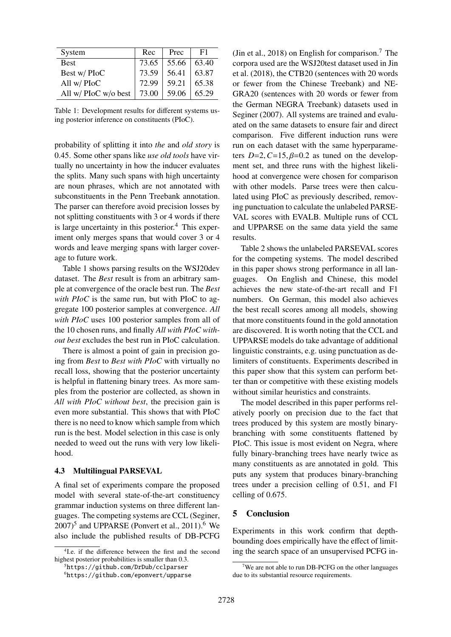| System               | Rec   | Prec  | F1    |
|----------------------|-------|-------|-------|
| <b>Best</b>          | 73.65 | 55.66 | 63.40 |
| Best w/PIoC          | 73.59 | 56.41 | 63.87 |
| All w/ PIoC          | 72.99 | 59.21 | 65.38 |
| All w/ PIoC w/o best | 73.00 | 59.06 | 65.29 |

Table 1: Development results for different systems using posterior inference on constituents (PIoC).

probability of splitting it into *the* and *old story* is 0.45. Some other spans like *use old tools* have virtually no uncertainty in how the inducer evaluates the splits. Many such spans with high uncertainty are noun phrases, which are not annotated with subconstituents in the Penn Treebank annotation. The parser can therefore avoid precision losses by not splitting constituents with 3 or 4 words if there is large uncertainty in this posterior.<sup>4</sup> This experiment only merges spans that would cover 3 or 4 words and leave merging spans with larger coverage to future work.

Table 1 shows parsing results on the WSJ20dev dataset. The *Best* result is from an arbitrary sample at convergence of the oracle best run. The *Best with PIoC* is the same run, but with PIoC to aggregate 100 posterior samples at convergence. *All with PIoC* uses 100 posterior samples from all of the 10 chosen runs, and finally *All with PIoC without best* excludes the best run in PIoC calculation.

There is almost a point of gain in precision going from *Best* to *Best with PIoC* with virtually no recall loss, showing that the posterior uncertainty is helpful in flattening binary trees. As more samples from the posterior are collected, as shown in *All with PIoC without best*, the precision gain is even more substantial. This shows that with PIoC there is no need to know which sample from which run is the best. Model selection in this case is only needed to weed out the runs with very low likelihood.

#### 4.3 Multilingual PARSEVAL

A final set of experiments compare the proposed model with several state-of-the-art constituency grammar induction systems on three different languages. The competing systems are CCL (Seginer,  $2007$ <sup>5</sup> and UPPARSE (Ponvert et al., 2011).<sup>6</sup> We also include the published results of DB-PCFG (Jin et al., 2018) on English for comparison.<sup>7</sup> The corpora used are the WSJ20test dataset used in Jin et al. (2018), the CTB20 (sentences with 20 words or fewer from the Chinese Treebank) and NE-GRA20 (sentences with 20 words or fewer from the German NEGRA Treebank) datasets used in Seginer (2007). All systems are trained and evaluated on the same datasets to ensure fair and direct comparison. Five different induction runs were run on each dataset with the same hyperparameters  $D=2$ ,  $C=15$ ,  $\beta=0.2$  as tuned on the development set, and three runs with the highest likelihood at convergence were chosen for comparison with other models. Parse trees were then calculated using PIoC as previously described, removing punctuation to calculate the unlabeled PARSE-VAL scores with EVALB. Multiple runs of CCL and UPPARSE on the same data yield the same results.

Table 2 shows the unlabeled PARSEVAL scores for the competing systems. The model described in this paper shows strong performance in all languages. On English and Chinese, this model achieves the new state-of-the-art recall and F1 numbers. On German, this model also achieves the best recall scores among all models, showing that more constituents found in the gold annotation are discovered. It is worth noting that the CCL and UPPARSE models do take advantage of additional linguistic constraints, e.g. using punctuation as delimiters of constituents. Experiments described in this paper show that this system can perform better than or competitive with these existing models without similar heuristics and constraints.

The model described in this paper performs relatively poorly on precision due to the fact that trees produced by this system are mostly binarybranching with some constituents flattened by PIoC. This issue is most evident on Negra, where fully binary-branching trees have nearly twice as many constituents as are annotated in gold. This puts any system that produces binary-branching trees under a precision celling of 0.51, and F1 celling of 0.675.

### 5 Conclusion

Experiments in this work confirm that depthbounding does empirically have the effect of limiting the search space of an unsupervised PCFG in-

<sup>4</sup> I.e. if the difference between the first and the second highest posterior probabilities is smaller than 0.3.

<sup>5</sup>https://github.com/DrDub/cclparser

<sup>6</sup>https://github.com/eponvert/upparse

 $\sqrt{7}$ We are not able to run DB-PCFG on the other languages due to its substantial resource requirements.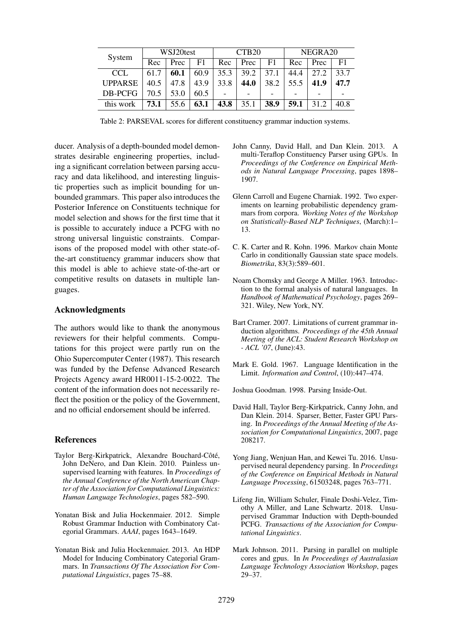| System         | WSJ20test |      | CTB <sub>20</sub> |                          | NEGRA20 |                          |                          |                          |      |
|----------------|-----------|------|-------------------|--------------------------|---------|--------------------------|--------------------------|--------------------------|------|
|                | Rec       | Prec | F1                | Rec                      | Prec    | F1                       | Rec                      | Prec                     | F1   |
| <b>CCL</b>     | 61.7      | 60.1 | 60.9              | 35.3                     | 39.2    | 37.1                     | 44.4                     | 27.2                     | 33.7 |
| <b>UPPARSE</b> | 40.5      | 47.8 | 43.9              | 33.8                     | 44.0    | 38.2                     | 55.5                     | 41.9                     | 47.7 |
| DB-PCFG        | 70.5      | 53.0 | 60.5              | $\overline{\phantom{0}}$ |         | $\overline{\phantom{a}}$ | $\overline{\phantom{0}}$ | $\overline{\phantom{0}}$ |      |
| this work      | 73.1      | 55.6 | 63.1              | 43.8                     | 35.1    | 38.9                     | 59.1                     |                          | 40.8 |

Table 2: PARSEVAL scores for different constituency grammar induction systems.

ducer. Analysis of a depth-bounded model demonstrates desirable engineering properties, including a significant correlation between parsing accuracy and data likelihood, and interesting linguistic properties such as implicit bounding for unbounded grammars. This paper also introduces the Posterior Inference on Constituents technique for model selection and shows for the first time that it is possible to accurately induce a PCFG with no strong universal linguistic constraints. Comparisons of the proposed model with other state-ofthe-art constituency grammar inducers show that this model is able to achieve state-of-the-art or competitive results on datasets in multiple languages.

# Acknowledgments

The authors would like to thank the anonymous reviewers for their helpful comments. Computations for this project were partly run on the Ohio Supercomputer Center (1987). This research was funded by the Defense Advanced Research Projects Agency award HR0011-15-2-0022. The content of the information does not necessarily reflect the position or the policy of the Government, and no official endorsement should be inferred.

#### References

- Taylor Berg-Kirkpatrick, Alexandre Bouchard-Côté, John DeNero, and Dan Klein. 2010. Painless unsupervised learning with features. In *Proceedings of the Annual Conference of the North American Chapter of the Association for Computational Linguistics: Human Language Technologies*, pages 582–590.
- Yonatan Bisk and Julia Hockenmaier. 2012. Simple Robust Grammar Induction with Combinatory Categorial Grammars. *AAAI*, pages 1643–1649.
- Yonatan Bisk and Julia Hockenmaier. 2013. An HDP Model for Inducing Combinatory Categorial Grammars. In *Transactions Of The Association For Computational Linguistics*, pages 75–88.
- John Canny, David Hall, and Dan Klein. 2013. A multi-Teraflop Constituency Parser using GPUs. In *Proceedings of the Conference on Empirical Methods in Natural Language Processing*, pages 1898– 1907.
- Glenn Carroll and Eugene Charniak. 1992. Two experiments on learning probabilistic dependency grammars from corpora. *Working Notes of the Workshop on Statistically-Based NLP Techniques*, (March):1– 13.
- C. K. Carter and R. Kohn. 1996. Markov chain Monte Carlo in conditionally Gaussian state space models. *Biometrika*, 83(3):589–601.
- Noam Chomsky and George A Miller. 1963. Introduction to the formal analysis of natural languages. In *Handbook of Mathematical Psychology*, pages 269– 321. Wiley, New York, NY.
- Bart Cramer. 2007. Limitations of current grammar induction algorithms. *Proceedings of the 45th Annual Meeting of the ACL: Student Research Workshop on - ACL '07*, (June):43.
- Mark E. Gold. 1967. Language Identification in the Limit. *Information and Control*, (10):447–474.
- Joshua Goodman. 1998. Parsing Inside-Out.
- David Hall, Taylor Berg-Kirkpatrick, Canny John, and Dan Klein. 2014. Sparser, Better, Faster GPU Parsing. In *Proceedings of the Annual Meeting of the Association for Computational Linguistics*, 2007, page 208217.
- Yong Jiang, Wenjuan Han, and Kewei Tu. 2016. Unsupervised neural dependency parsing. In *Proceedings of the Conference on Empirical Methods in Natural Language Processing*, 61503248, pages 763–771.
- Lifeng Jin, William Schuler, Finale Doshi-Velez, Timothy A Miller, and Lane Schwartz. 2018. Unsupervised Grammar Induction with Depth-bounded PCFG. *Transactions of the Association for Computational Linguistics*.
- Mark Johnson. 2011. Parsing in parallel on multiple cores and gpus. In *In Proceedings of Australasian Language Technology Association Workshop*, pages 29–37.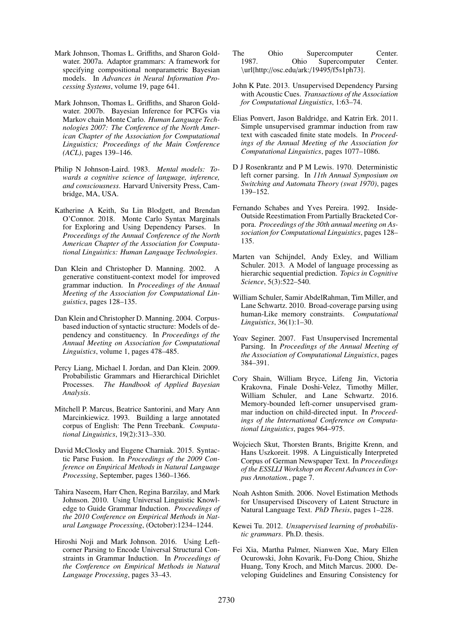- Mark Johnson, Thomas L. Griffiths, and Sharon Goldwater. 2007a. Adaptor grammars: A framework for specifying compositional nonparametric Bayesian models. In *Advances in Neural Information Processing Systems*, volume 19, page 641.
- Mark Johnson, Thomas L. Griffiths, and Sharon Goldwater. 2007b. Bayesian Inference for PCFGs via Markov chain Monte Carlo. *Human Language Technologies 2007: The Conference of the North American Chapter of the Association for Computational Linguistics; Proceedings of the Main Conference (ACL)*, pages 139–146.
- Philip N Johnson-Laird. 1983. *Mental models: Towards a cognitive science of language, inference, and consciousness*. Harvard University Press, Cambridge, MA, USA.
- Katherine A Keith, Su Lin Blodgett, and Brendan O'Connor. 2018. Monte Carlo Syntax Marginals for Exploring and Using Dependency Parses. In *Proceedings of the Annual Conference of the North American Chapter of the Association for Computational Linguistics: Human Language Technologies*.
- Dan Klein and Christopher D. Manning. 2002. A generative constituent-context model for improved grammar induction. In *Proceedings of the Annual Meeting of the Association for Computational Linguistics*, pages 128–135.
- Dan Klein and Christopher D. Manning. 2004. Corpusbased induction of syntactic structure: Models of dependency and constituency. In *Proceedings of the Annual Meeting on Association for Computational Linguistics*, volume 1, pages 478–485.
- Percy Liang, Michael I. Jordan, and Dan Klein. 2009. Probabilistic Grammars and Hierarchical Dirichlet Processes. *The Handbook of Applied Bayesian Analysis*.
- Mitchell P. Marcus, Beatrice Santorini, and Mary Ann Marcinkiewicz. 1993. Building a large annotated corpus of English: The Penn Treebank. *Computational Linguistics*, 19(2):313–330.
- David McClosky and Eugene Charniak. 2015. Syntactic Parse Fusion. In *Proceedings of the 2009 Conference on Empirical Methods in Natural Language Processing*, September, pages 1360–1366.
- Tahira Naseem, Harr Chen, Regina Barzilay, and Mark Johnson. 2010. Using Universal Linguistic Knowledge to Guide Grammar Induction. *Proceedings of the 2010 Conference on Empirical Methods in Natural Language Processing*, (October):1234–1244.
- Hiroshi Noji and Mark Johnson. 2016. Using Leftcorner Parsing to Encode Universal Structural Constraints in Grammar Induction. In *Proceedings of the Conference on Empirical Methods in Natural Language Processing*, pages 33–43.
- The Ohio Supercomputer Center. 1987. Ohio Supercomputer Center. \url{http://osc.edu/ark:/19495/f5s1ph73}.
- John K Pate. 2013. Unsupervised Dependency Parsing with Acoustic Cues. *Transactions of the Association for Computational Linguistics*, 1:63–74.
- Elias Ponvert, Jason Baldridge, and Katrin Erk. 2011. Simple unsupervised grammar induction from raw text with cascaded finite state models. In *Proceedings of the Annual Meeting of the Association for Computational Linguistics*, pages 1077–1086.
- D J Rosenkrantz and P M Lewis. 1970. Deterministic left corner parsing. In *11th Annual Symposium on Switching and Automata Theory (swat 1970)*, pages 139–152.
- Fernando Schabes and Yves Pereira. 1992. Inside-Outside Reestimation From Partially Bracketed Corpora. *Proceedings of the 30th annual meeting on Association for Computational Linguistics*, pages 128– 135.
- Marten van Schijndel, Andy Exley, and William Schuler. 2013. A Model of language processing as hierarchic sequential prediction. *Topics in Cognitive Science*, 5(3):522–540.
- William Schuler, Samir AbdelRahman, Tim Miller, and Lane Schwartz. 2010. Broad-coverage parsing using human-Like memory constraints. *Computational Linguistics*, 36(1):1–30.
- Yoav Seginer. 2007. Fast Unsupervised Incremental Parsing. In *Proceedings of the Annual Meeting of the Association of Computational Linguistics*, pages 384–391.
- Cory Shain, William Bryce, Lifeng Jin, Victoria Krakovna, Finale Doshi-Velez, Timothy Miller, William Schuler, and Lane Schwartz. 2016. Memory-bounded left-corner unsupervised grammar induction on child-directed input. In *Proceedings of the International Conference on Computational Linguistics*, pages 964–975.
- Wojciech Skut, Thorsten Brants, Brigitte Krenn, and Hans Uszkoreit. 1998. A Linguistically Interpreted Corpus of German Newspaper Text. In *Proceedings of the ESSLLI Workshop on Recent Advances in Corpus Annotation.*, page 7.
- Noah Ashton Smith. 2006. Novel Estimation Methods for Unsupervised Discovery of Latent Structure in Natural Language Text. *PhD Thesis*, pages 1–228.
- Kewei Tu. 2012. *Unsupervised learning of probabilistic grammars*. Ph.D. thesis.
- Fei Xia, Martha Palmer, Nianwen Xue, Mary Ellen Ocurowski, John Kovarik, Fu-Dong Chiou, Shizhe Huang, Tony Kroch, and Mitch Marcus. 2000. Developing Guidelines and Ensuring Consistency for